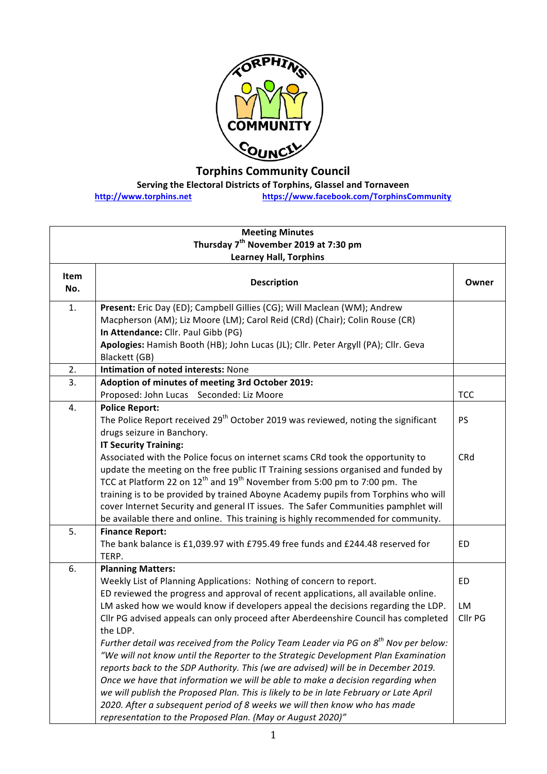

**Torphins Community Council**

**Serving the Electoral Districts of Torphins, Glassel and Tornaveen** 

**http://www.torphins.net https://www.facebook.com/TorphinsCommunity**

| <b>Meeting Minutes</b>                            |                                                                                                                                                                                                                                                                                                                                                                                                                                                                                                                                                                                                      |                     |  |  |
|---------------------------------------------------|------------------------------------------------------------------------------------------------------------------------------------------------------------------------------------------------------------------------------------------------------------------------------------------------------------------------------------------------------------------------------------------------------------------------------------------------------------------------------------------------------------------------------------------------------------------------------------------------------|---------------------|--|--|
| Thursday 7 <sup>th</sup> November 2019 at 7:30 pm |                                                                                                                                                                                                                                                                                                                                                                                                                                                                                                                                                                                                      |                     |  |  |
| <b>Learney Hall, Torphins</b>                     |                                                                                                                                                                                                                                                                                                                                                                                                                                                                                                                                                                                                      |                     |  |  |
| Item<br>No.                                       | <b>Description</b>                                                                                                                                                                                                                                                                                                                                                                                                                                                                                                                                                                                   | Owner               |  |  |
| 1.                                                | Present: Eric Day (ED); Campbell Gillies (CG); Will Maclean (WM); Andrew<br>Macpherson (AM); Liz Moore (LM); Carol Reid (CRd) (Chair); Colin Rouse (CR)<br>In Attendance: Cllr. Paul Gibb (PG)<br>Apologies: Hamish Booth (HB); John Lucas (JL); Cllr. Peter Argyll (PA); Cllr. Geva                                                                                                                                                                                                                                                                                                                 |                     |  |  |
|                                                   | Blackett (GB)                                                                                                                                                                                                                                                                                                                                                                                                                                                                                                                                                                                        |                     |  |  |
| 2.                                                | Intimation of noted interests: None                                                                                                                                                                                                                                                                                                                                                                                                                                                                                                                                                                  |                     |  |  |
| 3.                                                | Adoption of minutes of meeting 3rd October 2019:                                                                                                                                                                                                                                                                                                                                                                                                                                                                                                                                                     |                     |  |  |
|                                                   | Proposed: John Lucas Seconded: Liz Moore                                                                                                                                                                                                                                                                                                                                                                                                                                                                                                                                                             | <b>TCC</b>          |  |  |
| 4.                                                | <b>Police Report:</b><br>The Police Report received 29 <sup>th</sup> October 2019 was reviewed, noting the significant<br>drugs seizure in Banchory.                                                                                                                                                                                                                                                                                                                                                                                                                                                 | <b>PS</b>           |  |  |
|                                                   | <b>IT Security Training:</b><br>Associated with the Police focus on internet scams CRd took the opportunity to<br>update the meeting on the free public IT Training sessions organised and funded by<br>TCC at Platform 22 on 12 <sup>th</sup> and 19 <sup>th</sup> November from 5:00 pm to 7:00 pm. The<br>training is to be provided by trained Aboyne Academy pupils from Torphins who will<br>cover Internet Security and general IT issues. The Safer Communities pamphlet will<br>be available there and online. This training is highly recommended for community.                           | CRd                 |  |  |
| 5.                                                | <b>Finance Report:</b><br>The bank balance is £1,039.97 with £795.49 free funds and £244.48 reserved for<br>TERP.                                                                                                                                                                                                                                                                                                                                                                                                                                                                                    | ED                  |  |  |
| 6.                                                | <b>Planning Matters:</b><br>Weekly List of Planning Applications: Nothing of concern to report.<br>ED reviewed the progress and approval of recent applications, all available online.<br>LM asked how we would know if developers appeal the decisions regarding the LDP.<br>Cllr PG advised appeals can only proceed after Aberdeenshire Council has completed<br>the LDP.                                                                                                                                                                                                                         | ED<br>LM<br>Cllr PG |  |  |
|                                                   | Further detail was received from the Policy Team Leader via PG on 8 <sup>th</sup> Nov per below:<br>"We will not know until the Reporter to the Strategic Development Plan Examination<br>reports back to the SDP Authority. This (we are advised) will be in December 2019.<br>Once we have that information we will be able to make a decision regarding when<br>we will publish the Proposed Plan. This is likely to be in late February or Late April<br>2020. After a subsequent period of 8 weeks we will then know who has made<br>representation to the Proposed Plan. (May or August 2020)" |                     |  |  |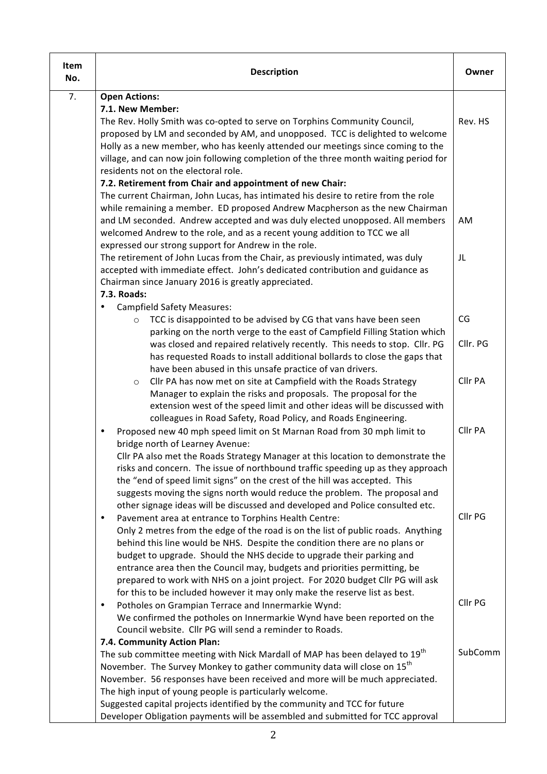| Item<br>No. | <b>Description</b>                                                                                                                                                                                                                                                                                                                    | Owner    |
|-------------|---------------------------------------------------------------------------------------------------------------------------------------------------------------------------------------------------------------------------------------------------------------------------------------------------------------------------------------|----------|
| 7.          | <b>Open Actions:</b>                                                                                                                                                                                                                                                                                                                  |          |
|             | 7.1. New Member:                                                                                                                                                                                                                                                                                                                      |          |
|             | The Rev. Holly Smith was co-opted to serve on Torphins Community Council,<br>proposed by LM and seconded by AM, and unopposed. TCC is delighted to welcome<br>Holly as a new member, who has keenly attended our meetings since coming to the<br>village, and can now join following completion of the three month waiting period for | Rev. HS  |
|             | residents not on the electoral role.                                                                                                                                                                                                                                                                                                  |          |
|             | 7.2. Retirement from Chair and appointment of new Chair:                                                                                                                                                                                                                                                                              |          |
|             | The current Chairman, John Lucas, has intimated his desire to retire from the role                                                                                                                                                                                                                                                    |          |
|             | while remaining a member. ED proposed Andrew Macpherson as the new Chairman                                                                                                                                                                                                                                                           |          |
|             | and LM seconded. Andrew accepted and was duly elected unopposed. All members                                                                                                                                                                                                                                                          | AM       |
|             | welcomed Andrew to the role, and as a recent young addition to TCC we all<br>expressed our strong support for Andrew in the role.                                                                                                                                                                                                     |          |
|             | The retirement of John Lucas from the Chair, as previously intimated, was duly                                                                                                                                                                                                                                                        | JL       |
|             | accepted with immediate effect. John's dedicated contribution and guidance as<br>Chairman since January 2016 is greatly appreciated.                                                                                                                                                                                                  |          |
|             | 7.3. Roads:                                                                                                                                                                                                                                                                                                                           |          |
|             | <b>Campfield Safety Measures:</b>                                                                                                                                                                                                                                                                                                     |          |
|             | TCC is disappointed to be advised by CG that vans have been seen<br>$\circ$                                                                                                                                                                                                                                                           | CG       |
|             | parking on the north verge to the east of Campfield Filling Station which                                                                                                                                                                                                                                                             |          |
|             | was closed and repaired relatively recently. This needs to stop. Cllr. PG                                                                                                                                                                                                                                                             | Cllr. PG |
|             | has requested Roads to install additional bollards to close the gaps that                                                                                                                                                                                                                                                             |          |
|             | have been abused in this unsafe practice of van drivers.                                                                                                                                                                                                                                                                              |          |
|             | Cllr PA has now met on site at Campfield with the Roads Strategy<br>$\circ$                                                                                                                                                                                                                                                           | Cllr PA  |
|             | Manager to explain the risks and proposals. The proposal for the                                                                                                                                                                                                                                                                      |          |
|             | extension west of the speed limit and other ideas will be discussed with                                                                                                                                                                                                                                                              |          |
|             | colleagues in Road Safety, Road Policy, and Roads Engineering.<br>Proposed new 40 mph speed limit on St Marnan Road from 30 mph limit to<br>$\bullet$                                                                                                                                                                                 | Cllr PA  |
|             | bridge north of Learney Avenue:                                                                                                                                                                                                                                                                                                       |          |
|             | Cllr PA also met the Roads Strategy Manager at this location to demonstrate the                                                                                                                                                                                                                                                       |          |
|             | risks and concern. The issue of northbound traffic speeding up as they approach                                                                                                                                                                                                                                                       |          |
|             | the "end of speed limit signs" on the crest of the hill was accepted. This                                                                                                                                                                                                                                                            |          |
|             | suggests moving the signs north would reduce the problem. The proposal and                                                                                                                                                                                                                                                            |          |
|             | other signage ideas will be discussed and developed and Police consulted etc.                                                                                                                                                                                                                                                         |          |
|             | Pavement area at entrance to Torphins Health Centre:<br>$\bullet$                                                                                                                                                                                                                                                                     | Cllr PG  |
|             | Only 2 metres from the edge of the road is on the list of public roads. Anything                                                                                                                                                                                                                                                      |          |
|             | behind this line would be NHS. Despite the condition there are no plans or                                                                                                                                                                                                                                                            |          |
|             | budget to upgrade. Should the NHS decide to upgrade their parking and                                                                                                                                                                                                                                                                 |          |
|             | entrance area then the Council may, budgets and priorities permitting, be                                                                                                                                                                                                                                                             |          |
|             | prepared to work with NHS on a joint project. For 2020 budget Cllr PG will ask                                                                                                                                                                                                                                                        |          |
|             | for this to be included however it may only make the reserve list as best.<br>Potholes on Grampian Terrace and Innermarkie Wynd:<br>$\bullet$                                                                                                                                                                                         | Cllr PG  |
|             | We confirmed the potholes on Innermarkie Wynd have been reported on the                                                                                                                                                                                                                                                               |          |
|             | Council website. Cllr PG will send a reminder to Roads.                                                                                                                                                                                                                                                                               |          |
|             | 7.4. Community Action Plan:                                                                                                                                                                                                                                                                                                           |          |
|             | The sub committee meeting with Nick Mardall of MAP has been delayed to 19 <sup>th</sup>                                                                                                                                                                                                                                               | SubComm  |
|             | November. The Survey Monkey to gather community data will close on 15 <sup>th</sup>                                                                                                                                                                                                                                                   |          |
|             | November. 56 responses have been received and more will be much appreciated.                                                                                                                                                                                                                                                          |          |
|             | The high input of young people is particularly welcome.                                                                                                                                                                                                                                                                               |          |
|             | Suggested capital projects identified by the community and TCC for future                                                                                                                                                                                                                                                             |          |
|             | Developer Obligation payments will be assembled and submitted for TCC approval                                                                                                                                                                                                                                                        |          |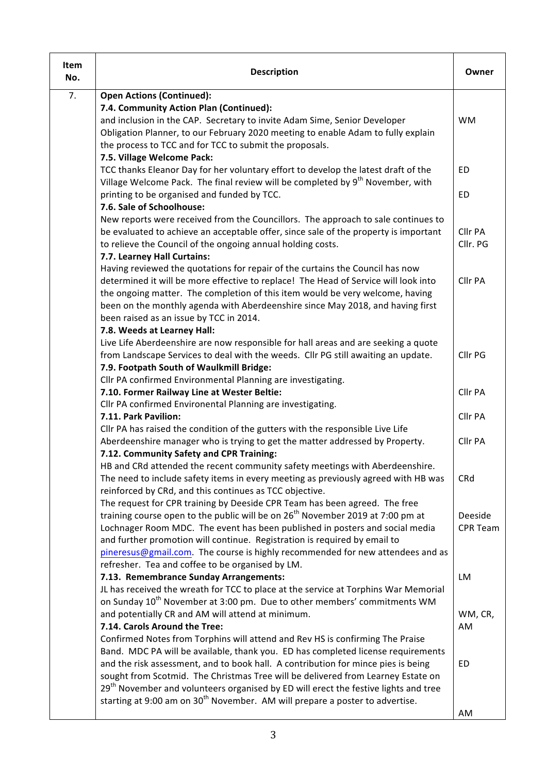| Item<br>No. | <b>Description</b>                                                                                                                                                                  | Owner           |
|-------------|-------------------------------------------------------------------------------------------------------------------------------------------------------------------------------------|-----------------|
| 7.          | <b>Open Actions (Continued):</b>                                                                                                                                                    |                 |
|             | 7.4. Community Action Plan (Continued):                                                                                                                                             |                 |
|             | and inclusion in the CAP. Secretary to invite Adam Sime, Senior Developer                                                                                                           | <b>WM</b>       |
|             | Obligation Planner, to our February 2020 meeting to enable Adam to fully explain                                                                                                    |                 |
|             | the process to TCC and for TCC to submit the proposals.                                                                                                                             |                 |
|             | 7.5. Village Welcome Pack:                                                                                                                                                          |                 |
|             | TCC thanks Eleanor Day for her voluntary effort to develop the latest draft of the                                                                                                  | ED              |
|             | Village Welcome Pack. The final review will be completed by 9 <sup>th</sup> November, with                                                                                          |                 |
|             | printing to be organised and funded by TCC.<br>7.6. Sale of Schoolhouse:                                                                                                            | ED              |
|             | New reports were received from the Councillors. The approach to sale continues to                                                                                                   |                 |
|             | be evaluated to achieve an acceptable offer, since sale of the property is important                                                                                                | Cllr PA         |
|             | to relieve the Council of the ongoing annual holding costs.                                                                                                                         | Cllr. PG        |
|             | 7.7. Learney Hall Curtains:                                                                                                                                                         |                 |
|             | Having reviewed the quotations for repair of the curtains the Council has now                                                                                                       |                 |
|             | determined it will be more effective to replace! The Head of Service will look into                                                                                                 | Cllr PA         |
|             | the ongoing matter. The completion of this item would be very welcome, having                                                                                                       |                 |
|             | been on the monthly agenda with Aberdeenshire since May 2018, and having first                                                                                                      |                 |
|             | been raised as an issue by TCC in 2014.                                                                                                                                             |                 |
|             | 7.8. Weeds at Learney Hall:                                                                                                                                                         |                 |
|             | Live Life Aberdeenshire are now responsible for hall areas and are seeking a quote                                                                                                  |                 |
|             | from Landscape Services to deal with the weeds. Cllr PG still awaiting an update.                                                                                                   | Cllr PG         |
|             | 7.9. Footpath South of Waulkmill Bridge:                                                                                                                                            |                 |
|             | Cllr PA confirmed Environmental Planning are investigating.                                                                                                                         |                 |
|             | 7.10. Former Railway Line at Wester Beltie:                                                                                                                                         | Cllr PA         |
|             | Cllr PA confirmed Environental Planning are investigating.                                                                                                                          |                 |
|             | 7.11. Park Pavilion:                                                                                                                                                                | Cllr PA         |
|             | Cllr PA has raised the condition of the gutters with the responsible Live Life<br>Aberdeenshire manager who is trying to get the matter addressed by Property.                      | Cllr PA         |
|             | 7.12. Community Safety and CPR Training:                                                                                                                                            |                 |
|             | HB and CRd attended the recent community safety meetings with Aberdeenshire.                                                                                                        |                 |
|             | The need to include safety items in every meeting as previously agreed with HB was                                                                                                  | CRd             |
|             | reinforced by CRd, and this continues as TCC objective.                                                                                                                             |                 |
|             | The request for CPR training by Deeside CPR Team has been agreed. The free                                                                                                          |                 |
|             | training course open to the public will be on 26 <sup>th</sup> November 2019 at 7:00 pm at                                                                                          | Deeside         |
|             | Lochnager Room MDC. The event has been published in posters and social media                                                                                                        | <b>CPR Team</b> |
|             | and further promotion will continue. Registration is required by email to                                                                                                           |                 |
|             | pineresus@gmail.com. The course is highly recommended for new attendees and as                                                                                                      |                 |
|             | refresher. Tea and coffee to be organised by LM.                                                                                                                                    |                 |
|             | 7.13. Remembrance Sunday Arrangements:                                                                                                                                              | LM              |
|             | JL has received the wreath for TCC to place at the service at Torphins War Memorial                                                                                                 |                 |
|             | on Sunday 10 <sup>th</sup> November at 3:00 pm. Due to other members' commitments WM                                                                                                |                 |
|             | and potentially CR and AM will attend at minimum.                                                                                                                                   | WM, CR,         |
|             | 7.14. Carols Around the Tree:                                                                                                                                                       | AM              |
|             | Confirmed Notes from Torphins will attend and Rev HS is confirming The Praise                                                                                                       |                 |
|             | Band. MDC PA will be available, thank you. ED has completed license requirements                                                                                                    |                 |
|             | and the risk assessment, and to book hall. A contribution for mince pies is being                                                                                                   | ED              |
|             | sought from Scotmid. The Christmas Tree will be delivered from Learney Estate on<br>29 <sup>th</sup> November and volunteers organised by ED will erect the festive lights and tree |                 |
|             | starting at 9:00 am on 30 <sup>th</sup> November. AM will prepare a poster to advertise.                                                                                            |                 |
|             |                                                                                                                                                                                     | AM              |
|             |                                                                                                                                                                                     |                 |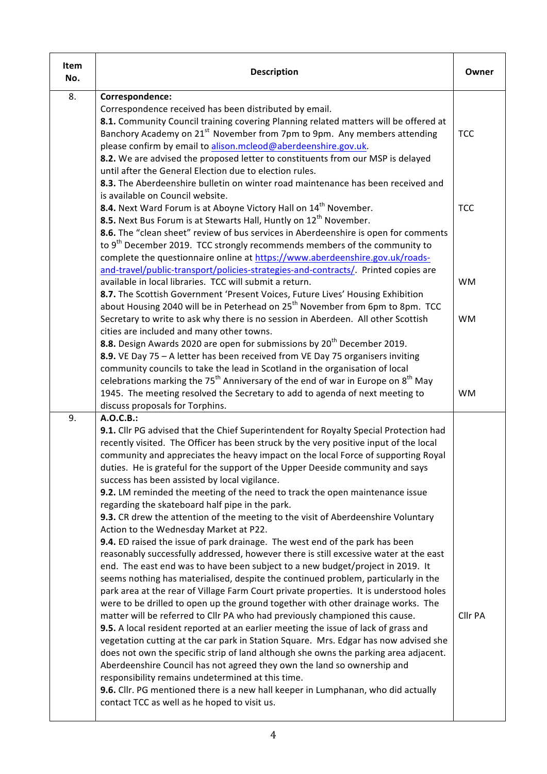| Item<br>No. | <b>Description</b>                                                                                                                                                                                                                                                                                                                                                                                                                                                                                                                                                                                                       | Owner                  |
|-------------|--------------------------------------------------------------------------------------------------------------------------------------------------------------------------------------------------------------------------------------------------------------------------------------------------------------------------------------------------------------------------------------------------------------------------------------------------------------------------------------------------------------------------------------------------------------------------------------------------------------------------|------------------------|
| 8.          | Correspondence:<br>Correspondence received has been distributed by email.<br>8.1. Community Council training covering Planning related matters will be offered at<br>Banchory Academy on 21 <sup>st</sup> November from 7pm to 9pm. Any members attending<br>please confirm by email to alison.mcleod@aberdeenshire.gov.uk.                                                                                                                                                                                                                                                                                              | <b>TCC</b>             |
|             | 8.2. We are advised the proposed letter to constituents from our MSP is delayed<br>until after the General Election due to election rules.<br>8.3. The Aberdeenshire bulletin on winter road maintenance has been received and<br>is available on Council website.<br>8.4. Next Ward Forum is at Aboyne Victory Hall on 14 <sup>th</sup> November.<br>8.5. Next Bus Forum is at Stewarts Hall, Huntly on 12 <sup>th</sup> November.                                                                                                                                                                                      | <b>TCC</b>             |
|             | 8.6. The "clean sheet" review of bus services in Aberdeenshire is open for comments<br>to 9 <sup>th</sup> December 2019. TCC strongly recommends members of the community to<br>complete the questionnaire online at https://www.aberdeenshire.gov.uk/roads-<br>and-travel/public-transport/policies-strategies-and-contracts/. Printed copies are                                                                                                                                                                                                                                                                       |                        |
|             | available in local libraries. TCC will submit a return.<br>8.7. The Scottish Government 'Present Voices, Future Lives' Housing Exhibition<br>about Housing 2040 will be in Peterhead on 25 <sup>th</sup> November from 6pm to 8pm. TCC<br>Secretary to write to ask why there is no session in Aberdeen. All other Scottish<br>cities are included and many other towns.                                                                                                                                                                                                                                                 | <b>WM</b><br><b>WM</b> |
|             | 8.8. Design Awards 2020 are open for submissions by 20 <sup>th</sup> December 2019.<br>8.9. VE Day 75 - A letter has been received from VE Day 75 organisers inviting<br>community councils to take the lead in Scotland in the organisation of local<br>celebrations marking the 75 <sup>th</sup> Anniversary of the end of war in Europe on 8 <sup>th</sup> May                                                                                                                                                                                                                                                        |                        |
|             | 1945. The meeting resolved the Secretary to add to agenda of next meeting to<br>discuss proposals for Torphins.                                                                                                                                                                                                                                                                                                                                                                                                                                                                                                          | <b>WM</b>              |
| 9.          | A.O.C.B.:<br>9.1. Cllr PG advised that the Chief Superintendent for Royalty Special Protection had<br>recently visited. The Officer has been struck by the very positive input of the local<br>community and appreciates the heavy impact on the local Force of supporting Royal<br>duties. He is grateful for the support of the Upper Deeside community and says<br>success has been assisted by local vigilance.                                                                                                                                                                                                      |                        |
|             | 9.2. LM reminded the meeting of the need to track the open maintenance issue<br>regarding the skateboard half pipe in the park.<br>9.3. CR drew the attention of the meeting to the visit of Aberdeenshire Voluntary<br>Action to the Wednesday Market at P22.<br>9.4. ED raised the issue of park drainage. The west end of the park has been                                                                                                                                                                                                                                                                           |                        |
|             | reasonably successfully addressed, however there is still excessive water at the east<br>end. The east end was to have been subject to a new budget/project in 2019. It<br>seems nothing has materialised, despite the continued problem, particularly in the<br>park area at the rear of Village Farm Court private properties. It is understood holes<br>were to be drilled to open up the ground together with other drainage works. The                                                                                                                                                                              |                        |
|             | matter will be referred to Cllr PA who had previously championed this cause.<br>9.5. A local resident reported at an earlier meeting the issue of lack of grass and<br>vegetation cutting at the car park in Station Square. Mrs. Edgar has now advised she<br>does not own the specific strip of land although she owns the parking area adjacent.<br>Aberdeenshire Council has not agreed they own the land so ownership and<br>responsibility remains undetermined at this time.<br>9.6. Cllr. PG mentioned there is a new hall keeper in Lumphanan, who did actually<br>contact TCC as well as he hoped to visit us. | Cllr PA                |